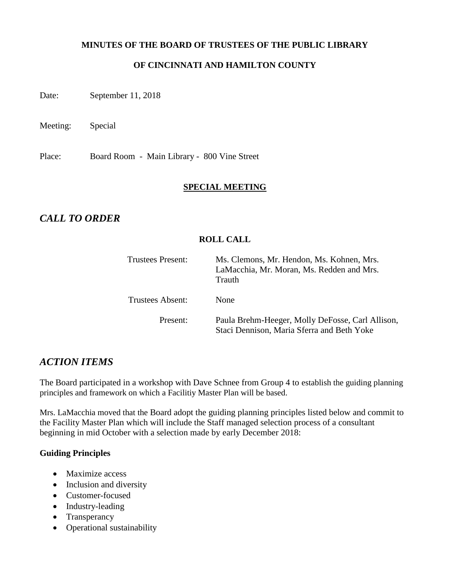### **MINUTES OF THE BOARD OF TRUSTEES OF THE PUBLIC LIBRARY**

## **OF CINCINNATI AND HAMILTON COUNTY**

Date: September 11, 2018

Meeting: Special

Place: Board Room - Main Library - 800 Vine Street

### **SPECIAL MEETING**

# *CALL TO ORDER*

### **ROLL CALL**

| <b>Trustees Present:</b> | Ms. Clemons, Mr. Hendon, Ms. Kohnen, Mrs.<br>LaMacchia, Mr. Moran, Ms. Redden and Mrs.<br>Trauth |
|--------------------------|--------------------------------------------------------------------------------------------------|
| <b>Trustees Absent:</b>  | <b>None</b>                                                                                      |
| Present:                 | Paula Brehm-Heeger, Molly DeFosse, Carl Allison,<br>Staci Dennison, Maria Sferra and Beth Yoke   |

# *ACTION ITEMS*

The Board participated in a workshop with Dave Schnee from Group 4 to establish the guiding planning principles and framework on which a Facilitiy Master Plan will be based.

Mrs. LaMacchia moved that the Board adopt the guiding planning principles listed below and commit to the Facility Master Plan which will include the Staff managed selection process of a consultant beginning in mid October with a selection made by early December 2018:

## **Guiding Principles**

- Maximize access
- Inclusion and diversity
- Customer-focused
- Industry-leading
- Transperancy
- Operational sustainability